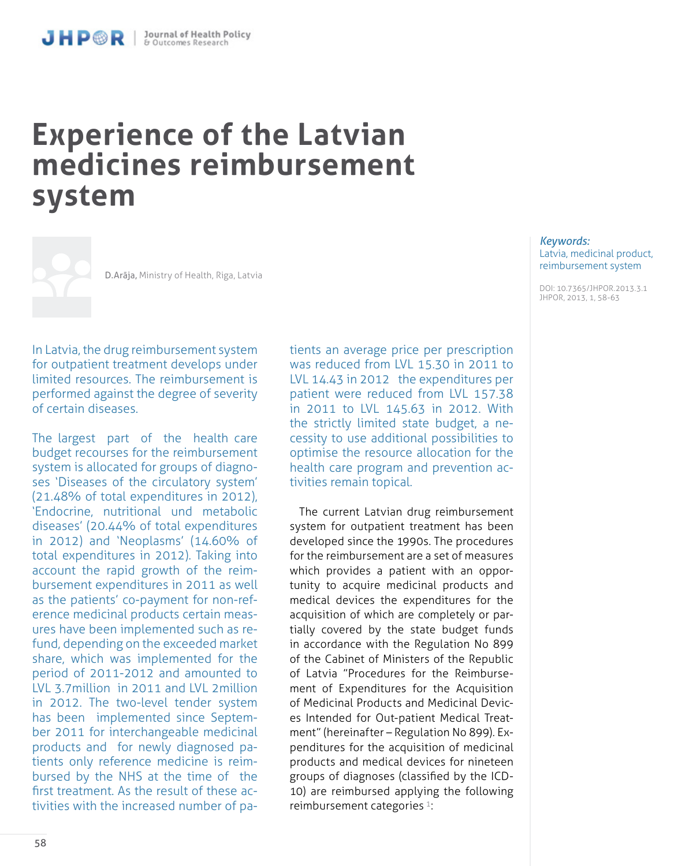# **Experience of the Latvian medicines reimbursement system**

D.Arāja, Ministry of Health, Riga, Latvia

In Latvia, the drug reimbursement system for outpatient treatment develops under limited resources. The reimbursement is performed against the degree of severity of certain diseases.

The largest part of the health care budget recourses for the reimbursement system is allocated for groups of diagnoses 'Diseases of the circulatory system' (21.48% of total expenditures in 2012), 'Endocrine, nutritional und metabolic diseases' (20.44% of total expenditures in 2012) and 'Neoplasms' (14.60% of total expenditures in 2012). Taking into account the rapid growth of the reimbursement expenditures in 2011 as well as the patients' co-payment for non-reference medicinal products certain measures have been implemented such as refund, depending on the exceeded market share, which was implemented for the period of 2011-2012 and amounted to LVL 3.7million in 2011 and LVL 2million in 2012. The two-level tender system has been implemented since September 2011 for interchangeable medicinal products and for newly diagnosed patients only reference medicine is reimbursed by the NHS at the time of the first treatment. As the result of these activities with the increased number of patients an average price per prescription was reduced from LVL 15.30 in 2011 to LVL 14.43 in 2012 the expenditures per patient were reduced from LVL 157.38 in 2011 to LVL 145.63 in 2012. With the strictly limited state budget, a necessity to use additional possibilities to optimise the resource allocation for the health care program and prevention activities remain topical.

The current Latvian drug reimbursement system for outpatient treatment has been developed since the 1990s. The procedures for the reimbursement are a set of measures which provides a patient with an opportunity to acquire medicinal products and medical devices the expenditures for the acquisition of which are completely or partially covered by the state budget funds in accordance with the Regulation No 899 of the Cabinet of Ministers of the Republic of Latvia "Procedures for the Reimbursement of Expenditures for the Acquisition of Medicinal Products and Medicinal Devices Intended for Out-patient Medical Treatment" (hereinafter – Regulation No 899). Expenditures for the acquisition of medicinal products and medical devices for nineteen groups of diagnoses (classified by the ICD-10) are reimbursed applying the following reimbursement categories<sup>1</sup>:

#### *Keywords:*  Latvia, medicinal product, reimbursement system

DOI: 10.7365/JHPOR.2013.3.1 JHPOR, 2013, 1, 58-63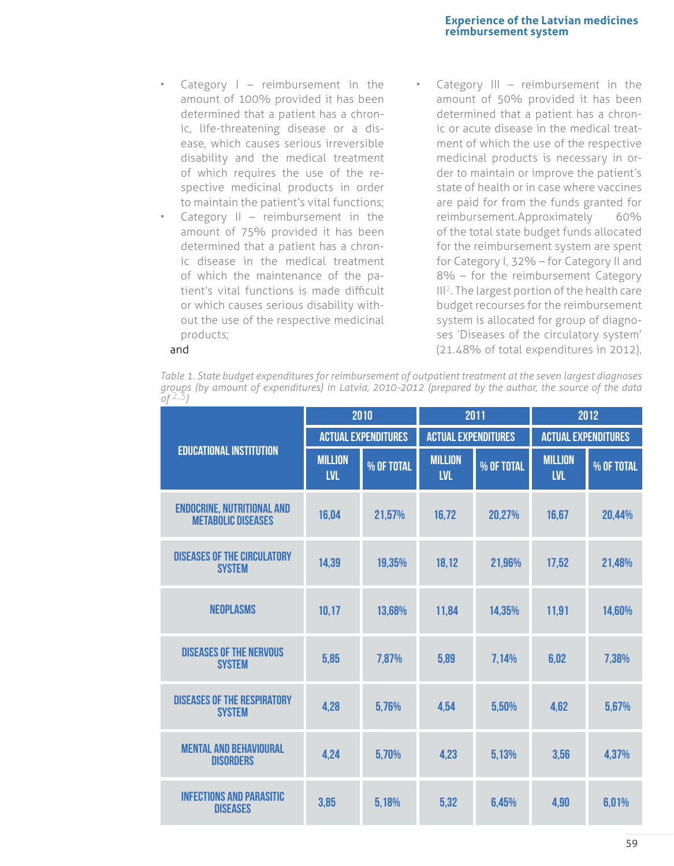## **Experience of the Latvian medicines reimbursement system**

- Category  $I -$  reimbursement in the amount of 100% provided it has been determined that a patient has a chronic, life-threatening disease or a disease, which causes serious irreversible disability and the medical treatment of which requires the use of the respective medicinal products in order to maintain the patient's vital functions;
- Category  $II$  reimbursement in the amount of 75% provided it has been determined that a patient has a chronic disease in the medical treatment of which the maintenance of the patient's vital functions is made difficult or which causes serious disability without the use of the respective medicinal products;
- Category III reimbursement in the amount of 50% provided it has been determined that a patient has a chronic or acute disease in the medical treatment of which the use of the respective medicinal products is necessary in order to maintain or improve the patient's state of health or in case where vaccines are paid for from the funds granted for reimbursement.Approximately 60% of the total state budget funds allocated for the reimbursement system are spent for Category I, 32% – for Category II and 8% – for the reimbursement Category III2. The largest portion of the health care budget recourses for the reimbursement system is allocated for group of diagnoses 'Diseases of the circulatory system' (21.48% of total expenditures in 2012),

#### and

*Table 1. State budget expenditures for reimbursement of outpatient treatment at the seven largest diagnoses groups (by amount of expenditures) in Latvia, 2010-2012 (prepared by the author, the source of the data of* 2,3*)*

| <b>EDUCATIONAL INSTITUTION</b>                                 | 2010                         |            | 2011                         |            | 2012                         |            |
|----------------------------------------------------------------|------------------------------|------------|------------------------------|------------|------------------------------|------------|
|                                                                | <b>ACTUAL EXPENDITURES</b>   |            | <b>ACTUAL EXPENDITURES</b>   |            | <b>ACTUAL EXPENDITURES</b>   |            |
|                                                                | <b>MILLION</b><br><b>LVL</b> | % OF TOTAL | <b>MILLION</b><br><b>LVL</b> | % OF TOTAL | <b>MILLION</b><br><b>LVL</b> | % OF TOTAL |
| <b>ENDOCRINE, NUTRITIONAL AND</b><br><b>METABOLIC DISEASES</b> | 16,04                        | 21,57%     | 16,72                        | 20,27%     | 16,67                        | 20,44%     |
| <b>DISEASES OF THE CIRCULATORY</b><br><b>SYSTEM</b>            | 14,39                        | 19,35%     | 18,12                        | 21,96%     | 17,52                        | 21,48%     |
| <b>NEOPLASMS</b>                                               | 10,17                        | 13,68%     | 11,84                        | 14,35%     | 11,91                        | 14,60%     |
| <b>DISEASES OF THE NERVOUS</b><br><b>SYSTEM</b>                | 5,85                         | 7,87%      | 5,89                         | 7,14%      | 6,02                         | 7,38%      |
| <b>DISEASES OF THE RESPIRATORY</b><br><b>SYSTEM</b>            | 4,28                         | 5,76%      | 4,54                         | 5,50%      | 4,62                         | 5,67%      |
| <b>MENTAL AND BEHAVIOURAL</b><br><b>DISORDERS</b>              | 4,24                         | 5,70%      | 4,23                         | 5,13%      | 3,56                         | 4,37%      |
| <b>INFECTIONS AND PARASITIC</b><br><b>DISEASES</b>             | 3,85                         | 5,18%      | 5,32                         | 6,45%      | 4,90                         | 6,01%      |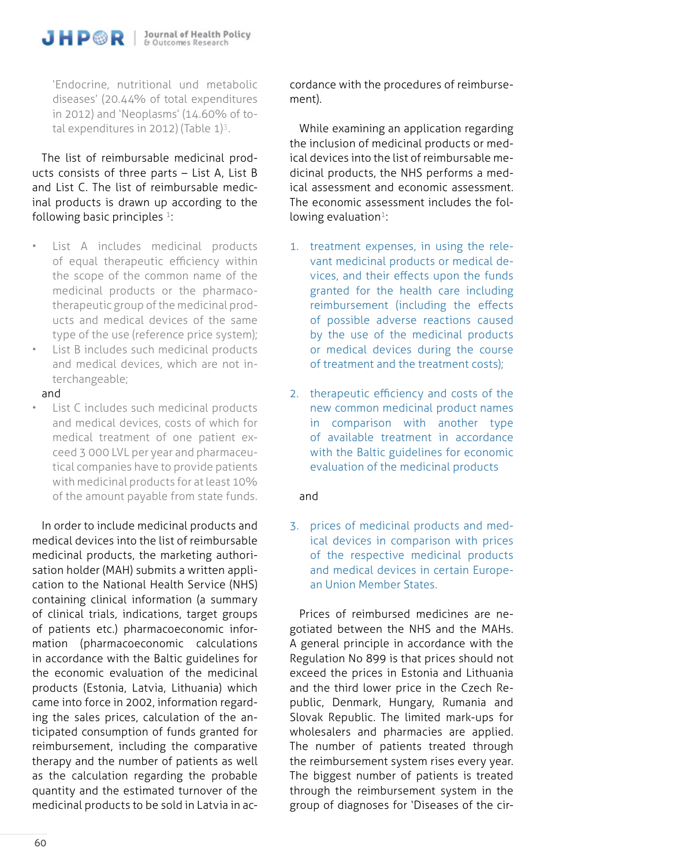'Endocrine, nutritional und metabolic diseases' (20.44% of total expenditures in 2012) and 'Neoplasms' (14.60% of total expenditures in 2012) (Table  $1$ <sup>3</sup>.

The list of reimbursable medicinal products consists of three parts – List A, List B and List C. The list of reimbursable medicinal products is drawn up according to the following basic principles  $1$ :

- List A includes medicinal products of equal therapeutic efficiency within the scope of the common name of the medicinal products or the pharmacotherapeutic group of the medicinal products and medical devices of the same type of the use (reference price system);
- List B includes such medicinal products and medical devices, which are not interchangeable;

#### and

List C includes such medicinal products and medical devices, costs of which for medical treatment of one patient exceed 3 000 LVL per year and pharmaceutical companies have to provide patients with medicinal products for at least 10% of the amount payable from state funds.

In order to include medicinal products and medical devices into the list of reimbursable medicinal products, the marketing authorisation holder (MAH) submits a written application to the National Health Service (NHS) containing clinical information (a summary of clinical trials, indications, target groups of patients etc.) pharmacoeconomic information (pharmacoeconomic calculations in accordance with the Baltic guidelines for the economic evaluation of the medicinal products (Estonia, Latvia, Lithuania) which came into force in 2002, information regarding the sales prices, calculation of the anticipated consumption of funds granted for reimbursement, including the comparative therapy and the number of patients as well as the calculation regarding the probable quantity and the estimated turnover of the medicinal products to be sold in Latvia in accordance with the procedures of reimbursement).

While examining an application regarding the inclusion of medicinal products or medical devices into the list of reimbursable medicinal products, the NHS performs a medical assessment and economic assessment. The economic assessment includes the following evaluation<sup>1</sup>:

- 1. treatment expenses, in using the relevant medicinal products or medical devices, and their effects upon the funds granted for the health care including reimbursement (including the effects of possible adverse reactions caused by the use of the medicinal products or medical devices during the course of treatment and the treatment costs);
- 2. therapeutic efficiency and costs of the new common medicinal product names in comparison with another type of available treatment in accordance with the Baltic guidelines for economic evaluation of the medicinal products

## and

3. prices of medicinal products and medical devices in comparison with prices of the respective medicinal products and medical devices in certain European Union Member States.

Prices of reimbursed medicines are negotiated between the NHS and the MAHs. A general principle in accordance with the Regulation No 899 is that prices should not exceed the prices in Estonia and Lithuania and the third lower price in the Czech Republic, Denmark, Hungary, Rumania and Slovak Republic. The limited mark-ups for wholesalers and pharmacies are applied. The number of patients treated through the reimbursement system rises every year. The biggest number of patients is treated through the reimbursement system in the group of diagnoses for 'Diseases of the cir-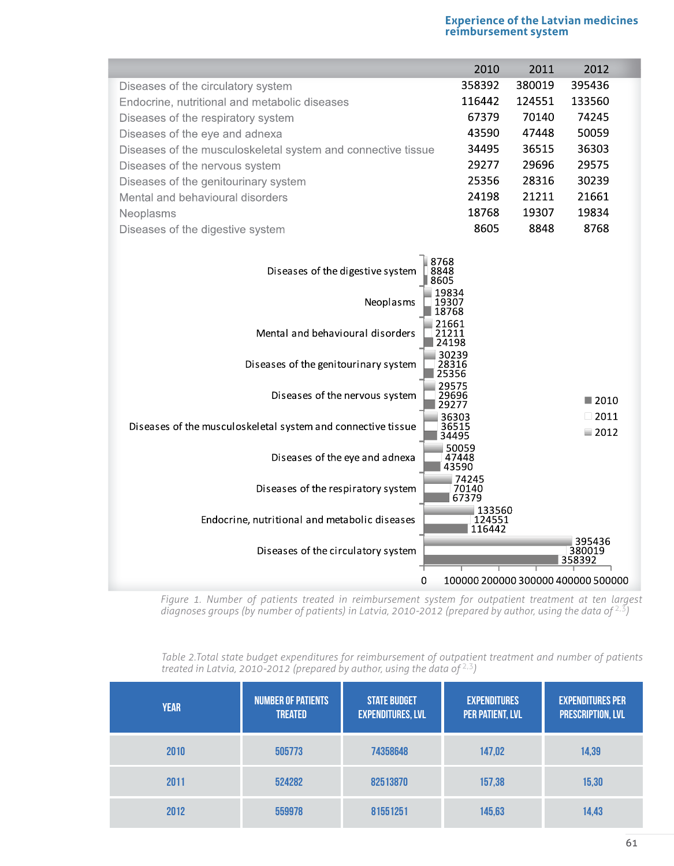## **Experience of the Latvian medicines reimbursement system**

| 358392<br>380019<br>395436<br>Diseases of the circulatory system                        |      |  |  |  |  |
|-----------------------------------------------------------------------------------------|------|--|--|--|--|
| 116442<br>124551<br>133560<br>Endocrine, nutritional and metabolic diseases             |      |  |  |  |  |
| 70140<br>67379<br>74245<br>Diseases of the respiratory system                           |      |  |  |  |  |
| 47448<br>50059<br>43590<br>Diseases of the eye and adnexa                               |      |  |  |  |  |
| 34495<br>36515<br>36303<br>Diseases of the musculoskeletal system and connective tissue |      |  |  |  |  |
| 29277<br>29696<br>29575<br>Diseases of the nervous system                               |      |  |  |  |  |
| 25356<br>28316<br>30239<br>Diseases of the genitourinary system                         |      |  |  |  |  |
| 24198<br>21211<br>21661<br>Mental and behavioural disorders                             |      |  |  |  |  |
| 18768<br>19307<br>19834<br>Neoplasms                                                    |      |  |  |  |  |
| 8605<br>8848<br>8768<br>Diseases of the digestive system                                |      |  |  |  |  |
| 8768<br>Diseases of the digestive system<br>8848<br>8605<br>.9834                       |      |  |  |  |  |
| Neoplasms<br>9307<br>8768                                                               |      |  |  |  |  |
| 21661<br>Mental and behavioural disorders<br>21211<br>24198                             |      |  |  |  |  |
| 30239<br>Diseases of the genitourinary system<br>28316<br>25356                         |      |  |  |  |  |
| 29575<br>Diseases of the nervous system<br>29696<br>$\blacksquare$ 2010                 |      |  |  |  |  |
| 36303<br>Diseases of the musculoskeletal system and connective tissue<br>36515          | 2011 |  |  |  |  |
| $\blacksquare$ 2012<br>34495                                                            |      |  |  |  |  |
| 50059<br>Diseases of the eye and adnexa<br>47448<br>3590                                |      |  |  |  |  |
| 74245<br>Diseases of the respiratory system<br>70140<br>67379                           |      |  |  |  |  |
| 133560<br>Endocrine, nutritional and metabolic diseases<br>124551<br>116442             |      |  |  |  |  |
| 395436<br>Diseases of the circulatory system<br>380019<br>358392                        |      |  |  |  |  |
| 0<br>100000 200000 300000 400000 500000                                                 |      |  |  |  |  |

*Figure 1. Number of patients treated in reimbursement system for outpatient treatment at ten largest*  diagnoses groups (by number of patients) in Latvia, 2010-2012 (prepared by author, using the data of <sup>2,3</sup>)

*Table 2.Total state budget expenditures for reimbursement of outpatient treatment and number of patients treated in Latvia, 2010-2012 (prepared by author, using the data of* 2,3*)*

| <b>YEAR</b> | <b>NUMBER OF PATIENTS</b><br><b>TREATED</b> | <b>STATE BUDGET</b><br><b>EXPENDITURES, LVL</b> | <b>EXPENDITURES</b><br><b>PER PATIENT, LVL</b> | <b>EXPENDITURES PER</b><br><b>PRESCRIPTION, LVL</b> |
|-------------|---------------------------------------------|-------------------------------------------------|------------------------------------------------|-----------------------------------------------------|
| 2010        | 505773                                      | 74358648                                        | 147,02                                         | 14,39                                               |
| 2011        | 524282                                      | 82513870                                        | 157,38                                         | 15,30                                               |
| 2012        | 559978                                      | 81551251                                        | 145,63                                         | 14,43                                               |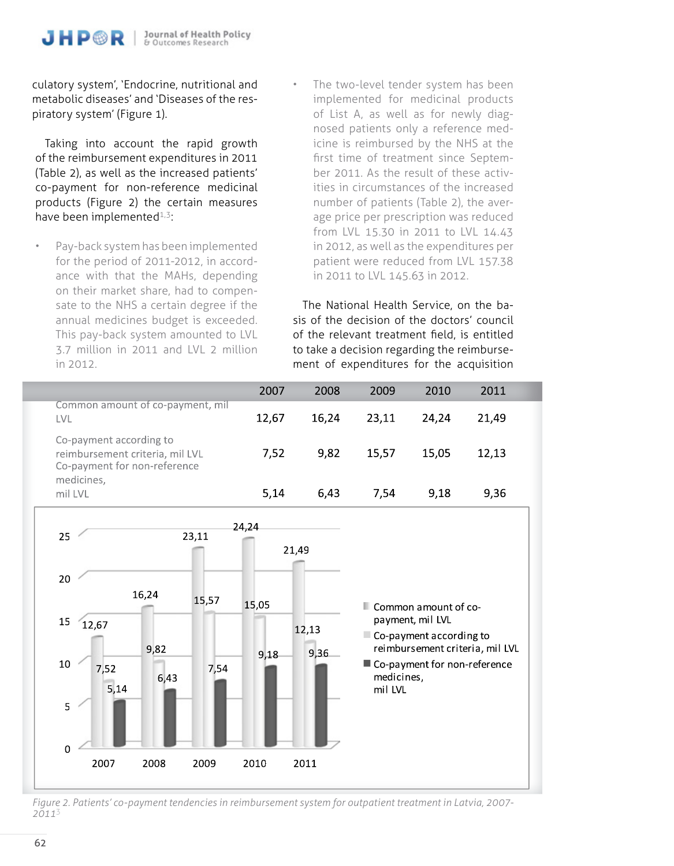culatory system', 'Endocrine, nutritional and metabolic diseases' and 'Diseases of the respiratory system' (Figure 1).

Taking into account the rapid growth of the reimbursement expenditures in 2011 (Table 2), as well as the increased patients' co-payment for non-reference medicinal products (Figure 2) the certain measures have been implemented $1.3$ :

- Pay-back system has been implemented for the period of 2011-2012, in accordance with that the MAHs, depending on their market share, had to compensate to the NHS a certain degree if the annual medicines budget is exceeded. This pay-back system amounted to LVL 3.7 million in 2011 and LVL 2 million in 2012.
- The two-level tender system has been implemented for medicinal products of List A, as well as for newly diagnosed patients only a reference medicine is reimbursed by the NHS at the first time of treatment since September 2011. As the result of these activities in circumstances of the increased number of patients (Table 2), the average price per prescription was reduced from LVL 15.30 in 2011 to LVL 14.43 in 2012, as well as the expenditures per patient were reduced from LVL 157.38 in 2011 to LVL 145.63 in 2012.

The National Health Service, on the basis of the decision of the doctors' council of the relevant treatment field, is entitled to take a decision regarding the reimbursement of expenditures for the acquisition

|                                                                                            | 2007  | 2008  | 2009  | 2010  | 2011  |  |
|--------------------------------------------------------------------------------------------|-------|-------|-------|-------|-------|--|
| Common amount of co-payment, mil<br>LVL                                                    | 12,67 | 16,24 | 23,11 | 24,24 | 21,49 |  |
| Co-payment according to<br>reimbursement criteria, mil LVL<br>Co-payment for non-reference | 7.52  | 9.82  | 15.57 | 15.05 | 12.13 |  |
| medicines,<br>mil LVL                                                                      | 5.14  | 6.43  | 7.54  | 9.18  | 9,36  |  |



*Figure 2. Patients' co-payment tendencies in reimbursement system for outpatient treatment in Latvia, 2007- 2011*<sup>3</sup>